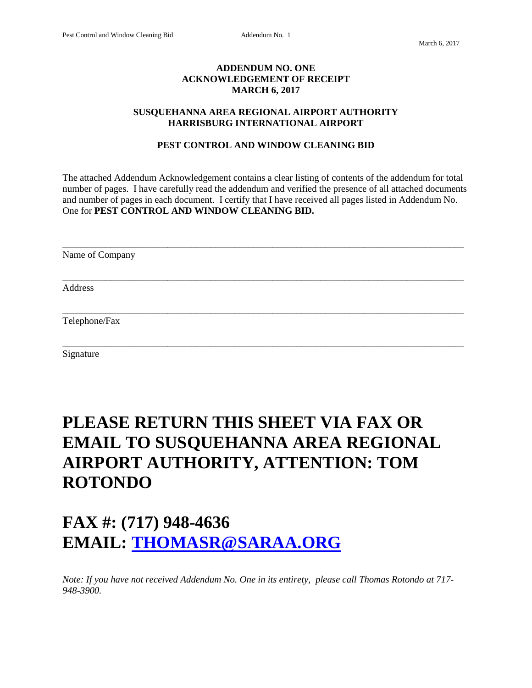## **ADDENDUM NO. ONE ACKNOWLEDGEMENT OF RECEIPT MARCH 6, 2017**

#### **SUSQUEHANNA AREA REGIONAL AIRPORT AUTHORITY HARRISBURG INTERNATIONAL AIRPORT**

## **PEST CONTROL AND WINDOW CLEANING BID**

The attached Addendum Acknowledgement contains a clear listing of contents of the addendum for total number of pages. I have carefully read the addendum and verified the presence of all attached documents and number of pages in each document. I certify that I have received all pages listed in Addendum No. One for **PEST CONTROL AND WINDOW CLEANING BID.**

\_\_\_\_\_\_\_\_\_\_\_\_\_\_\_\_\_\_\_\_\_\_\_\_\_\_\_\_\_\_\_\_\_\_\_\_\_\_\_\_\_\_\_\_\_\_\_\_\_\_\_\_\_\_\_\_\_\_\_\_\_\_\_\_\_\_\_\_\_\_\_\_\_\_\_\_\_\_\_\_\_\_\_\_ Name of Company \_\_\_\_\_\_\_\_\_\_\_\_\_\_\_\_\_\_\_\_\_\_\_\_\_\_\_\_\_\_\_\_\_\_\_\_\_\_\_\_\_\_\_\_\_\_\_\_\_\_\_\_\_\_\_\_\_\_\_\_\_\_\_\_\_\_\_\_\_\_\_\_\_\_\_\_\_\_\_\_\_\_\_\_ Address \_\_\_\_\_\_\_\_\_\_\_\_\_\_\_\_\_\_\_\_\_\_\_\_\_\_\_\_\_\_\_\_\_\_\_\_\_\_\_\_\_\_\_\_\_\_\_\_\_\_\_\_\_\_\_\_\_\_\_\_\_\_\_\_\_\_\_\_\_\_\_\_\_\_\_\_\_\_\_\_\_\_\_\_ Telephone/Fax

\_\_\_\_\_\_\_\_\_\_\_\_\_\_\_\_\_\_\_\_\_\_\_\_\_\_\_\_\_\_\_\_\_\_\_\_\_\_\_\_\_\_\_\_\_\_\_\_\_\_\_\_\_\_\_\_\_\_\_\_\_\_\_\_\_\_\_\_\_\_\_\_\_\_\_\_\_\_\_\_\_\_\_\_

Signature

# **PLEASE RETURN THIS SHEET VIA FAX OR EMAIL TO SUSQUEHANNA AREA REGIONAL AIRPORT AUTHORITY, ATTENTION: TOM ROTONDO**

# **FAX #: (717) 948-4636 EMAIL: [THOMASR@SARAA.ORG](mailto:THOMASR@SARAA.ORG)**

*Note: If you have not received Addendum No. One in its entirety, please call Thomas Rotondo at 717- 948-3900.*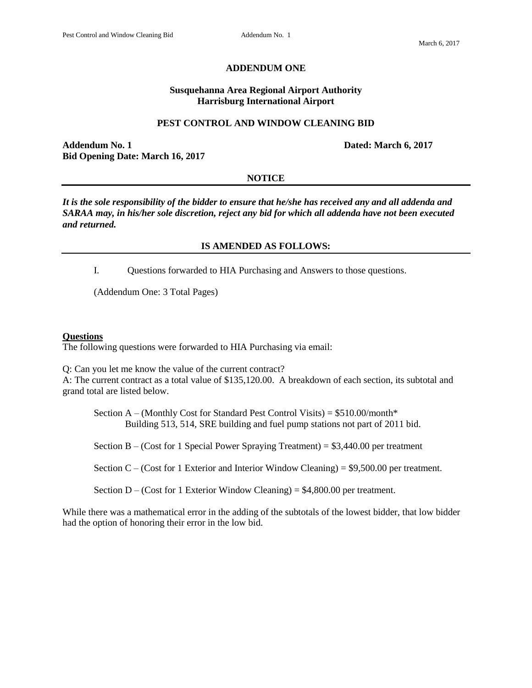#### **ADDENDUM ONE**

### **Susquehanna Area Regional Airport Authority Harrisburg International Airport**

#### **PEST CONTROL AND WINDOW CLEANING BID**

**Addendum No. 1 Dated: March 6, 2017 Bid Opening Date: March 16, 2017**

#### **NOTICE**

*It is the sole responsibility of the bidder to ensure that he/she has received any and all addenda and SARAA may, in his/her sole discretion, reject any bid for which all addenda have not been executed and returned.*

## **IS AMENDED AS FOLLOWS:**

I. Questions forwarded to HIA Purchasing and Answers to those questions.

(Addendum One: 3 Total Pages)

#### **Questions**

The following questions were forwarded to HIA Purchasing via email:

Q: Can you let me know the value of the current contract?

A: The current contract as a total value of \$135,120.00. A breakdown of each section, its subtotal and grand total are listed below.

Section  $A - (Monthly Cost for Standard Pest Control Visits) = $510.00/month*$ Building 513, 514, SRE building and fuel pump stations not part of 2011 bid.

Section B – (Cost for 1 Special Power Spraying Treatment) =  $$3,440.00$  per treatment

Section  $C -$  (Cost for 1 Exterior and Interior Window Cleaning) = \$9,500.00 per treatment.

Section  $D - (Cost for 1 Exterior Window Cleaning) = $4,800.00$  per treatment.

While there was a mathematical error in the adding of the subtotals of the lowest bidder, that low bidder had the option of honoring their error in the low bid.